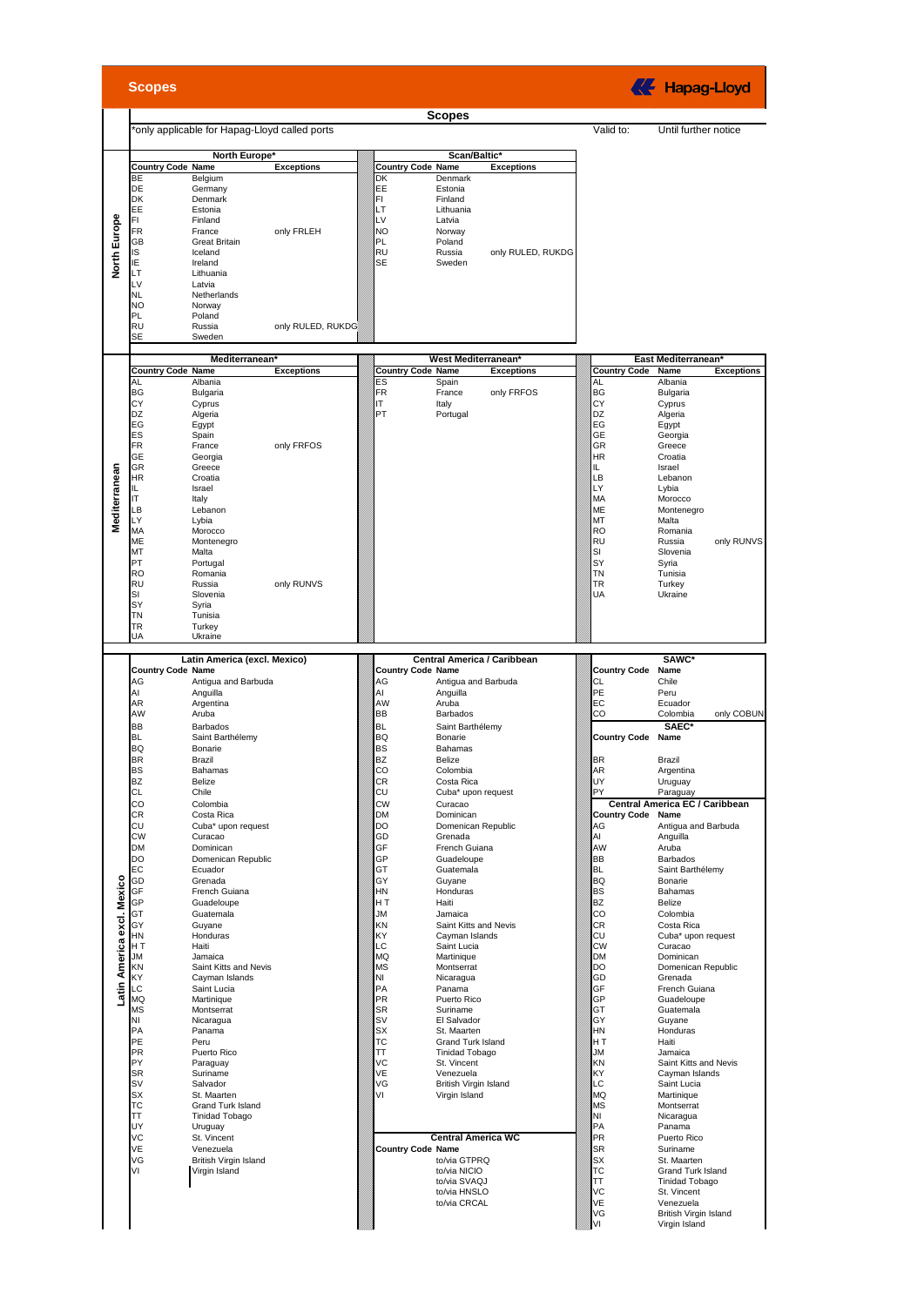|  | <b>Scopes</b> |
|--|---------------|

K Hapag-Lloyd

|                            |                          |                                              |                   |                          | <b>Scopes</b>                              |  |                         |                                |                   |
|----------------------------|--------------------------|----------------------------------------------|-------------------|--------------------------|--------------------------------------------|--|-------------------------|--------------------------------|-------------------|
|                            |                          | only applicable for Hapag-Lloyd called ports |                   |                          |                                            |  | Valid to:               | Until further notice           |                   |
|                            |                          |                                              |                   |                          |                                            |  |                         |                                |                   |
|                            |                          | North Europe*                                |                   |                          | Scan/Baltic'                               |  |                         |                                |                   |
|                            | <b>Country Code Name</b> |                                              | <b>Exceptions</b> | <b>Country Code Name</b> | <b>Exceptions</b>                          |  |                         |                                |                   |
|                            | <b>BE</b>                | Belgium                                      |                   | DK                       | Denmark                                    |  |                         |                                |                   |
|                            | DE<br><b>DK</b>          | Germany<br>Denmark                           |                   | EE<br>FI.                | Estonia<br>Finland                         |  |                         |                                |                   |
|                            | EE                       | Estonia                                      |                   | LT                       | Lithuania                                  |  |                         |                                |                   |
|                            | FI.                      | Finland                                      |                   | LV                       | Latvia                                     |  |                         |                                |                   |
| North Europe               | <b>FR</b>                | France                                       | only FRLEH        | <b>NO</b>                | Norway                                     |  |                         |                                |                   |
|                            | <b>GB</b>                | <b>Great Britain</b>                         |                   | PL                       | Poland                                     |  |                         |                                |                   |
|                            | IS                       | Iceland                                      |                   | RU                       | Russia<br>only RULED, RUKDG                |  |                         |                                |                   |
|                            | ΙE<br>LT                 | Ireland<br>Lithuania                         |                   | <b>SE</b>                | Sweden                                     |  |                         |                                |                   |
|                            | LV                       | Latvia                                       |                   |                          |                                            |  |                         |                                |                   |
|                            | <b>NL</b>                | Netherlands                                  |                   |                          |                                            |  |                         |                                |                   |
|                            | <b>NO</b>                | Norway                                       |                   |                          |                                            |  |                         |                                |                   |
|                            | PL                       | Poland                                       |                   |                          |                                            |  |                         |                                |                   |
|                            | <b>RU</b><br><b>SE</b>   | Russia<br>Sweden                             | only RULED, RUKDG |                          |                                            |  |                         |                                |                   |
|                            |                          |                                              |                   |                          |                                            |  |                         |                                |                   |
|                            |                          | Mediterranean <sup>®</sup>                   |                   |                          | <b>West Mediterranean</b>                  |  |                         | East Mediterranean'            |                   |
|                            | <b>Country Code Name</b> |                                              | <b>Exceptions</b> | <b>Country Code Name</b> | <b>Exceptions</b>                          |  | <b>Country Code</b>     | Name                           | <b>Exceptions</b> |
|                            | AL                       | Albania                                      |                   | ES                       | Spain                                      |  | AL                      | Albania                        |                   |
|                            | <b>BG</b>                | Bulgaria                                     |                   | FR                       | France<br>only FRFOS                       |  | <b>BG</b>               | Bulgaria                       |                   |
|                            | CY                       | Cyprus                                       |                   | ΙT<br>PT                 | Italy                                      |  | CY                      | Cyprus                         |                   |
|                            | DZ<br>EG                 | Algeria                                      |                   |                          | Portugal                                   |  | <b>DZ</b><br>EG         | Algeria                        |                   |
|                            | ES                       | Egypt<br>Spain                               |                   |                          |                                            |  | <b>GE</b>               | Egypt<br>Georgia               |                   |
|                            | <b>FR</b>                | France                                       | only FRFOS        |                          |                                            |  | <b>GR</b>               | Greece                         |                   |
|                            | <b>GE</b>                | Georgia                                      |                   |                          |                                            |  | <b>HR</b>               | Croatia                        |                   |
|                            | GR                       | Greece                                       |                   |                          |                                            |  | IL.                     | Israel                         |                   |
|                            | <b>HR</b>                | Croatia                                      |                   |                          |                                            |  | LB                      | Lebanon                        |                   |
|                            | IL.<br>IT                | Israel<br>Italy                              |                   |                          |                                            |  | LY<br>MA                | Lybia                          |                   |
|                            | LВ                       | Lebanon                                      |                   |                          |                                            |  | ME                      | Morocco<br>Montenegro          |                   |
| Mediterranean              | LY                       | Lybia                                        |                   |                          |                                            |  | MT                      | Malta                          |                   |
|                            | MA                       | Morocco                                      |                   |                          |                                            |  | <b>RO</b>               | Romania                        |                   |
|                            | ME                       | Montenegro                                   |                   |                          |                                            |  | <b>RU</b>               | Russia                         | only RUNVS        |
|                            | MT                       | Malta                                        |                   |                          |                                            |  | SI                      | Slovenia                       |                   |
|                            | PT<br><b>RO</b>          | Portugal                                     |                   |                          |                                            |  | SY<br><b>TN</b>         | Syria                          |                   |
|                            | <b>RU</b>                | Romania<br>Russia                            | only RUNVS        |                          |                                            |  | <b>TR</b>               | Tunisia<br>Turkey              |                   |
|                            | SI                       | Slovenia                                     |                   |                          |                                            |  | UA                      | Ukraine                        |                   |
|                            | SY                       | Syria                                        |                   |                          |                                            |  |                         |                                |                   |
|                            | ΤN                       | Tunisia                                      |                   |                          |                                            |  |                         |                                |                   |
|                            | TR                       | Turkey                                       |                   |                          |                                            |  |                         |                                |                   |
|                            | UA                       | Ukraine                                      |                   |                          |                                            |  |                         |                                |                   |
|                            |                          | Latin America (excl. Mexico)                 |                   |                          | Central America / Caribbean                |  |                         | SAWC*                          |                   |
|                            | <b>Country Code Name</b> |                                              |                   | <b>Country Code Name</b> |                                            |  | <b>Country Code</b>     | Name                           |                   |
|                            | AG                       | Antigua and Barbuda                          |                   | AG                       | Antigua and Barbuda                        |  | СL                      | Chile                          |                   |
|                            | Al                       | Anguilla                                     |                   | AI                       | Anguilla                                   |  | PE                      | Peru                           |                   |
|                            | AR                       | Argentina                                    |                   | AW                       | Aruba                                      |  | EC                      | Ecuador                        |                   |
|                            | AW                       | Aruba                                        |                   | BB                       | <b>Barbados</b>                            |  | CO                      | Colombia                       | only COBUN        |
|                            | <b>BB</b>                | <b>Barbados</b>                              |                   | <b>BL</b>                | Saint Barthélemv                           |  |                         | SAEC*                          |                   |
|                            | <b>BL</b><br><b>BQ</b>   | Saint Barthélemy<br>Bonarie                  |                   | <b>BQ</b><br><b>BS</b>   | Bonarie<br><b>Bahamas</b>                  |  | <b>Country Code</b>     | Name                           |                   |
|                            | <b>BR</b>                | Brazil                                       |                   | <b>BZ</b>                | Belize                                     |  | BR                      | Brazil                         |                   |
|                            | <b>BS</b>                | Bahamas                                      |                   | CO                       | Colombia                                   |  | AR                      | Argentina                      |                   |
|                            | <b>BZ</b>                | Belize                                       |                   | CR                       | Costa Rica                                 |  | UY                      | Uruguay                        |                   |
|                            | CL                       | Chile                                        |                   | CU                       | Cuba* upon request                         |  | PY                      | Paraguay                       |                   |
|                            | CO                       | Colombia                                     |                   | сw                       | Curacao                                    |  |                         | Central America EC / Caribbean |                   |
|                            | CR<br>CU                 | Costa Rica<br>Cuba* upon request             |                   | <b>DM</b><br>DO          | Dominican<br>Domenican Republic            |  | Country Code Name<br>AG | Antiqua and Barbuda            |                   |
|                            | <b>CW</b>                | Curacao                                      |                   | GD                       | Grenada                                    |  | Al                      | Anguilla                       |                   |
|                            | DM                       | Dominican                                    |                   | GF                       | French Guiana                              |  | AW                      | Aruba                          |                   |
|                            | DO                       | Domenican Republic                           |                   | GP                       | Guadeloupe                                 |  | BB                      | Barbados                       |                   |
|                            | EC                       | Ecuador                                      |                   | GT                       | Guatemala                                  |  | <b>BL</b>               | Saint Barthélemy               |                   |
|                            | GD                       | Grenada                                      |                   | GY                       | Guyane                                     |  | BQ                      | Bonarie                        |                   |
|                            | GF<br><b>GP</b>          | French Guiana<br>Guadeloupe                  |                   | HN<br>HT                 | Honduras<br>Haiti                          |  | <b>BS</b><br><b>BZ</b>  | Bahamas<br>Belize              |                   |
|                            | GT                       | Guatemala                                    |                   | ЛU                       | Jamaica                                    |  | CO                      | Colombia                       |                   |
|                            | GY                       | Guyane                                       |                   | KN                       | Saint Kitts and Nevis                      |  | CR                      | Costa Rica                     |                   |
|                            | <b>HN</b>                | Honduras                                     |                   | KY                       | Cayman Islands                             |  | CU                      | Cuba* upon request             |                   |
| Latin America excl. Mexico | HT                       | Haiti                                        |                   | LС                       | Saint Lucia                                |  | <b>CW</b>               | Curacao                        |                   |
|                            | <b>JM</b>                | Jamaica                                      |                   | MQ                       | Martinique                                 |  | <b>DM</b>               | Dominican                      |                   |
|                            | KN<br>KY                 | Saint Kitts and Nevis<br>Cavman Islands      |                   | <b>MS</b><br>NI          | Montserrat<br>Nicaragua                    |  | DO<br>GD                | Domenican Republic<br>Grenada  |                   |
|                            | LC                       | Saint Lucia                                  |                   | PA                       | Panama                                     |  | GF                      | French Guiana                  |                   |
|                            | <b>MQ</b>                | Martinique                                   |                   | PR                       | Puerto Rico                                |  | GP                      | Guadeloupe                     |                   |
|                            | <b>MS</b>                | Montserrat                                   |                   | SR                       | Suriname                                   |  | GT                      | Guatemala                      |                   |
|                            | ΝI                       | Nicaragua                                    |                   | SV                       | El Salvador                                |  | GY                      | Guyane                         |                   |
|                            | PA<br>PE                 | Panama                                       |                   | SX<br>TC                 | St. Maarten                                |  | HN                      | Honduras<br>Haiti              |                   |
|                            | <b>PR</b>                | Peru<br>Puerto Rico                          |                   | TT                       | Grand Turk Island<br><b>Tinidad Tobago</b> |  | HT<br>JМ                | Jamaica                        |                   |
|                            | PY                       | Paraguay                                     |                   | VC                       | St. Vincent                                |  | ΚN                      | Saint Kitts and Nevis          |                   |
|                            | <b>SR</b>                | Suriname                                     |                   | VE                       | Venezuela                                  |  | KY                      | Cayman Islands                 |                   |
|                            | SV                       | Salvador                                     |                   | VG                       | British Virgin Island                      |  | LC                      | Saint Lucia                    |                   |
|                            | SX                       | St. Maarten                                  |                   | VI                       | Virgin Island                              |  | MQ                      | Martinique                     |                   |
|                            | ТC<br>TΤ                 | Grand Turk Island<br>Tinidad Tobago          |                   |                          |                                            |  | <b>MS</b><br>NI         | Montserrat<br>Nicaragua        |                   |
|                            | UY                       | Uruguay                                      |                   |                          |                                            |  | PA                      | Panama                         |                   |
|                            | VC                       | St. Vincent                                  |                   |                          | <b>Central America WC</b>                  |  | PR                      | Puerto Rico                    |                   |
|                            | VE                       | Venezuela                                    |                   | <b>Country Code Name</b> |                                            |  | <b>SR</b>               | Suriname                       |                   |
|                            | VG                       | British Virgin Island                        |                   |                          | to/via GTPRQ                               |  | SX                      | St. Maarten                    |                   |
|                            | ٧I                       | Virgin Island                                |                   |                          | to/via NICIO                               |  | ТC                      | Grand Turk Island              |                   |
|                            |                          |                                              |                   |                          | to/via SVAQJ<br>to/via HNSLO               |  | TT<br>VC                | Tinidad Tobago<br>St. Vincent  |                   |
|                            |                          |                                              |                   |                          | to/via CRCAL                               |  | VE                      | Venezuela                      |                   |
|                            |                          |                                              |                   |                          |                                            |  | VG                      | British Virgin Island          |                   |
|                            |                          |                                              |                   |                          |                                            |  | VI                      | Virgin Island                  |                   |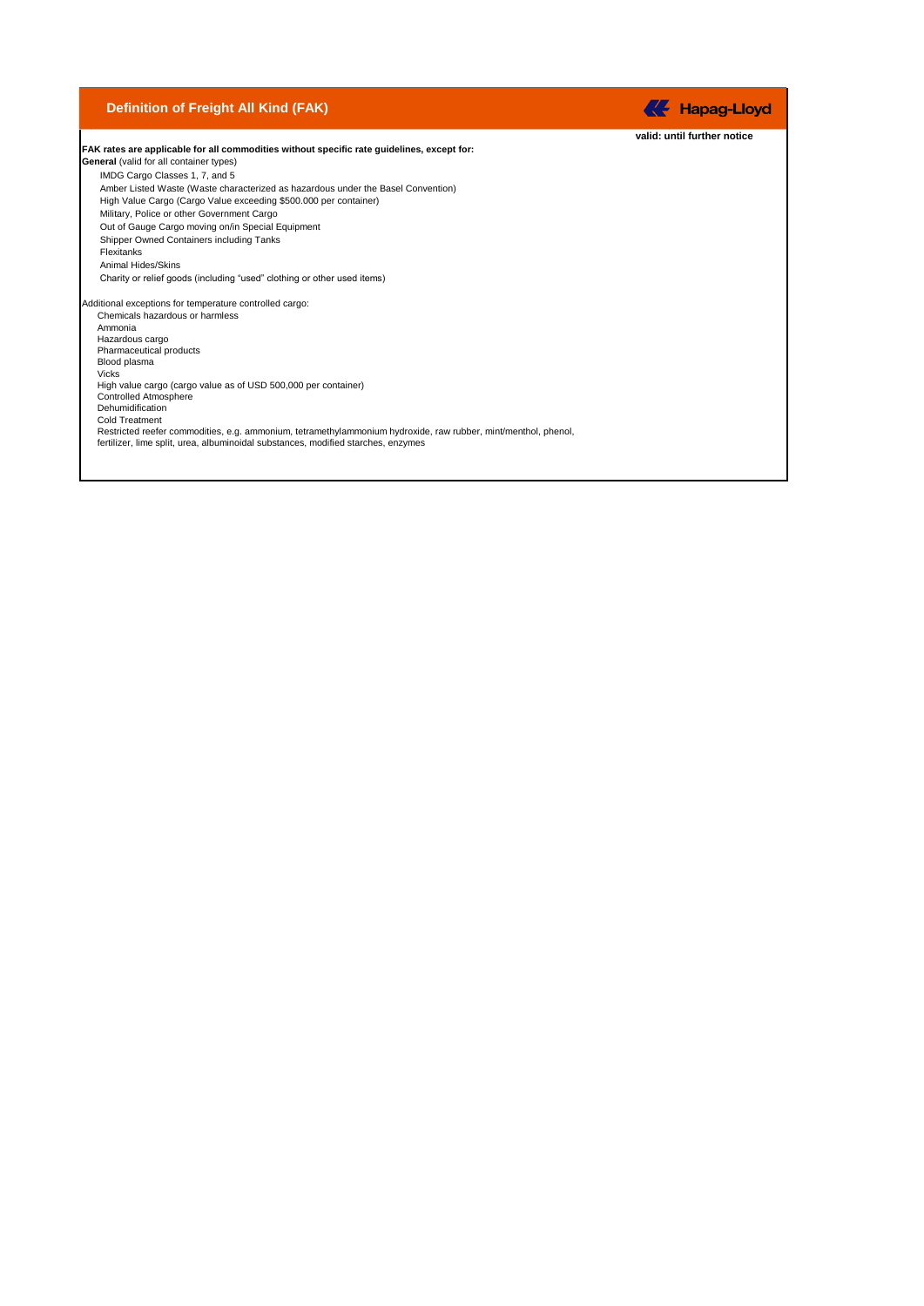## **Definition of Freight All Kind (FAK)**

**valid: until further notice FAK rates are applicable for all commodities without specific rate guidelines, except for: General** (valid for all container types) IMDG Cargo Classes 1, 7, and 5 Amber Listed Waste (Waste characterized as hazardous under the Basel Convention) High Value Cargo (Cargo Value exceeding \$500.000 per container) Military, Police or other Government Cargo Out of Gauge Cargo moving on/in Special Equipment Shipper Owned Containers including Tanks Flexitanks Animal Hides/Skins Charity or relief goods (including "used" clothing or other used items) Additional exceptions for temperature controlled cargo: Chemicals hazardous or harmless Ammonia Hazardous cargo Pharmaceutical products Blood plasma Vicks High value cargo (cargo value as of USD 500,000 per container) Controlled Atmosphere Dehumidification Cold Treatment Restricted reefer commodities, e.g. ammonium, tetramethylammonium hydroxide, raw rubber, mint/menthol, phenol, fertilizer, lime split, urea, albuminoidal substances, modified starches, enzymes

**K** Hapag-Lloyd